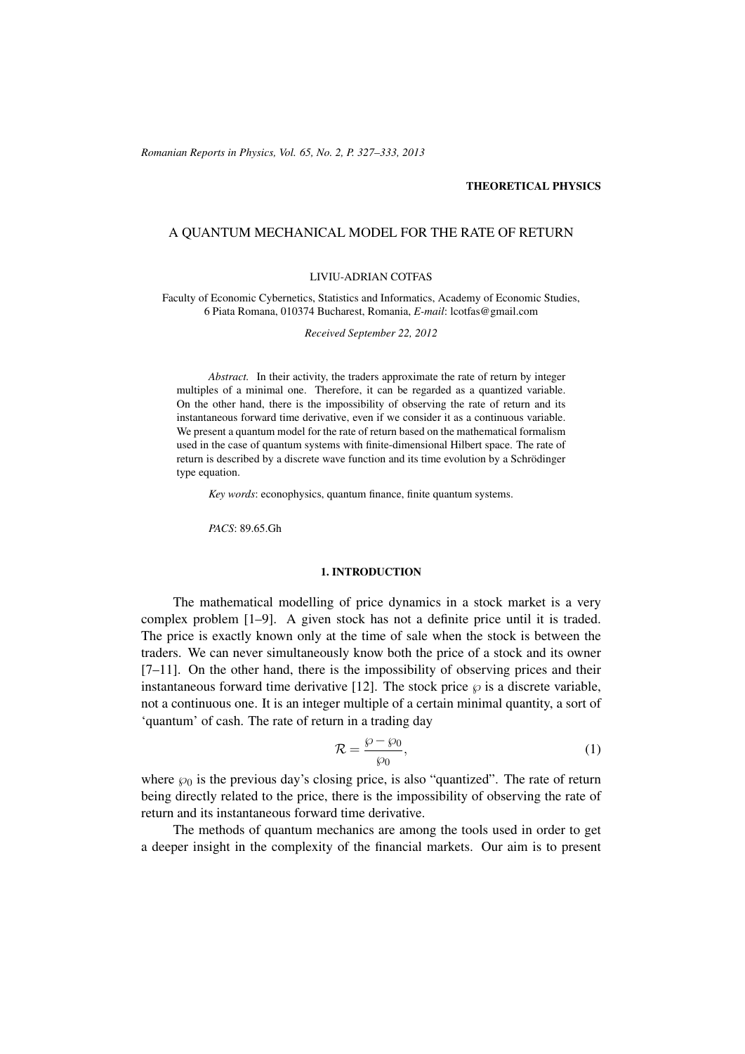(c) RRP 65(No. 2) 327–333 2013 *Romanian Reports in Physics, Vol. 65, No. 2, P. 327–333, 2013*

### THEORETICAL PHYSICS

## A QUANTUM MECHANICAL MODEL FOR THE RATE OF RETURN

#### LIVIU-ADRIAN COTFAS

Faculty of Economic Cybernetics, Statistics and Informatics, Academy of Economic Studies, 6 Piata Romana, 010374 Bucharest, Romania, *E-mail*: lcotfas@gmail.com

*Received September 22, 2012*

*Abstract.* In their activity, the traders approximate the rate of return by integer multiples of a minimal one. Therefore, it can be regarded as a quantized variable. On the other hand, there is the impossibility of observing the rate of return and its instantaneous forward time derivative, even if we consider it as a continuous variable. We present a quantum model for the rate of return based on the mathematical formalism used in the case of quantum systems with finite-dimensional Hilbert space. The rate of return is described by a discrete wave function and its time evolution by a Schrödinger type equation.

*Key words*: econophysics, quantum finance, finite quantum systems.

*PACS*: 89.65.Gh

#### 1. INTRODUCTION

The mathematical modelling of price dynamics in a stock market is a very complex problem [1–9]. A given stock has not a definite price until it is traded. The price is exactly known only at the time of sale when the stock is between the traders. We can never simultaneously know both the price of a stock and its owner [7–11]. On the other hand, there is the impossibility of observing prices and their instantaneous forward time derivative [12]. The stock price  $\wp$  is a discrete variable, not a continuous one. It is an integer multiple of a certain minimal quantity, a sort of 'quantum' of cash. The rate of return in a trading day

$$
\mathcal{R} = \frac{\wp - \wp_0}{\wp_0},\tag{1}
$$

where  $\wp_0$  is the previous day's closing price, is also "quantized". The rate of return being directly related to the price, there is the impossibility of observing the rate of return and its instantaneous forward time derivative.

The methods of quantum mechanics are among the tools used in order to get a deeper insight in the complexity of the financial markets. Our aim is to present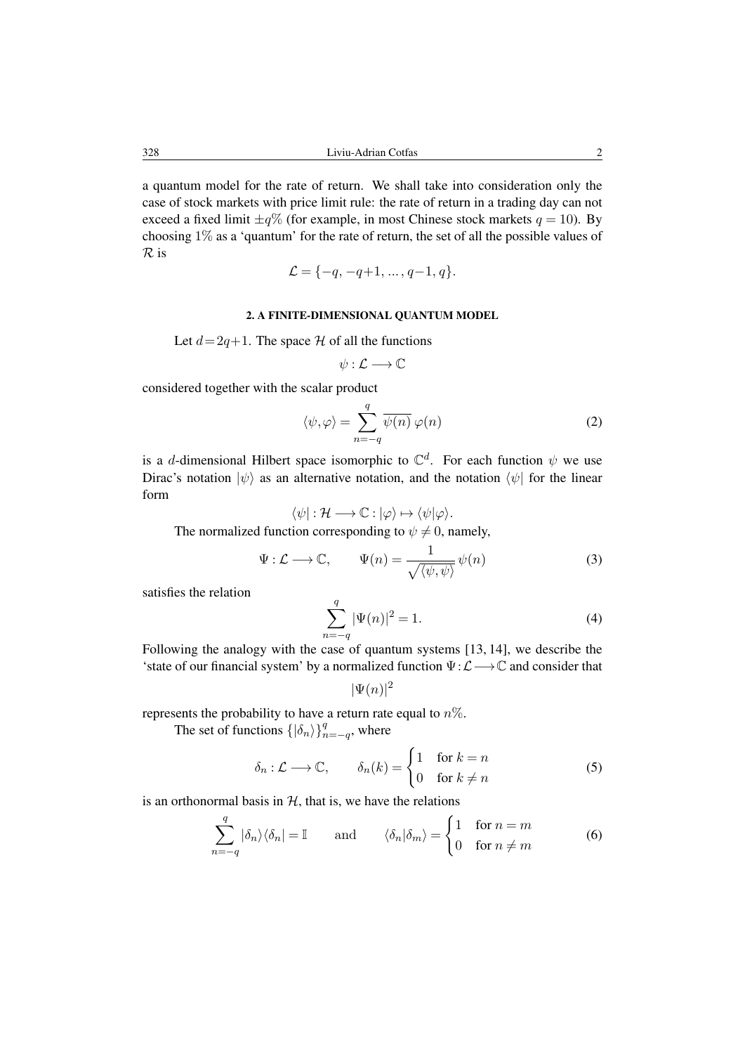a quantum model for the rate of return. We shall take into consideration only the case of stock markets with price limit rule: the rate of return in a trading day can not exceed a fixed limit  $\pm q\%$  (for example, in most Chinese stock markets  $q = 10$ ). By choosing 1% as a 'quantum' for the rate of return, the set of all the possible values of R is

$$
\mathcal{L} = \{-q, -q+1, \dots, q-1, q\}.
$$

### 2. A FINITE-DIMENSIONAL QUANTUM MODEL

Let  $d= 2q+1$ . The space H of all the functions

$$
\psi:\mathcal{L}\longrightarrow\mathbb{C}
$$

considered together with the scalar product

$$
\langle \psi, \varphi \rangle = \sum_{n = -q}^{q} \overline{\psi(n)} \, \varphi(n) \tag{2}
$$

is a d-dimensional Hilbert space isomorphic to  $\mathbb{C}^d$ . For each function  $\psi$  we use Dirac's notation  $|\psi\rangle$  as an alternative notation, and the notation  $\langle \psi |$  for the linear form

$$
\langle \psi | : \mathcal{H} \longrightarrow \mathbb{C} : |\varphi\rangle \mapsto \langle \psi | \varphi \rangle.
$$

The normalized function corresponding to  $\psi \neq 0$ , namely,

$$
\Psi: \mathcal{L} \longrightarrow \mathbb{C}, \qquad \Psi(n) = \frac{1}{\sqrt{\langle \psi, \psi \rangle}} \psi(n) \tag{3}
$$

satisfies the relation

$$
\sum_{n=-q}^{q} |\Psi(n)|^2 = 1.
$$
 (4)

Following the analogy with the case of quantum systems [13, 14], we describe the 'state of our financial system' by a normalized function  $\Psi:\mathcal{L}\longrightarrow\mathbb{C}$  and consider that

 $|\Psi(n)|^2$ 

represents the probability to have a return rate equal to  $n\%$ .

The set of functions  $\{|\delta_n\rangle\}_{n=-q}^q$ , where

$$
\delta_n : \mathcal{L} \longrightarrow \mathbb{C}, \qquad \delta_n(k) = \begin{cases} 1 & \text{for } k = n \\ 0 & \text{for } k \neq n \end{cases} \tag{5}
$$

is an orthonormal basis in  $H$ , that is, we have the relations

$$
\sum_{n=-q}^{q} |\delta_n\rangle\langle\delta_n| = \mathbb{I} \quad \text{and} \quad \langle\delta_n|\delta_m\rangle = \begin{cases} 1 & \text{for } n=m\\ 0 & \text{for } n \neq m \end{cases} \tag{6}
$$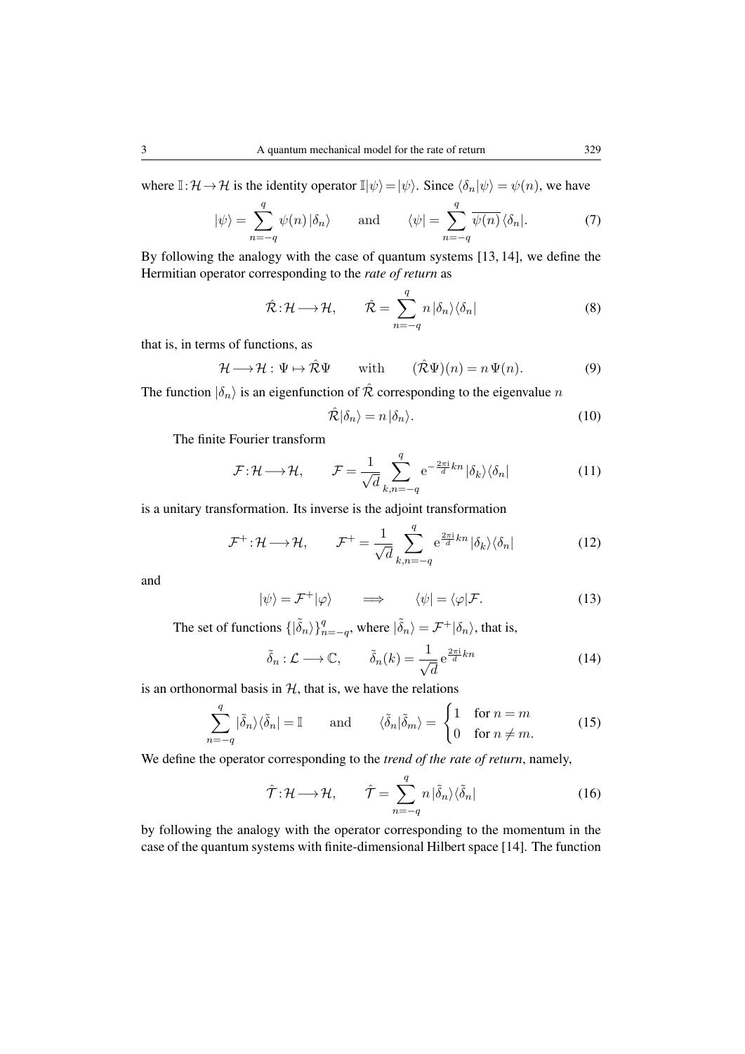where  $\mathbb{I}: \mathcal{H} \to \mathcal{H}$  is the identity operator  $\mathbb{I}|\psi\rangle = |\psi\rangle$ . Since  $\langle \delta_n | \psi \rangle = \psi(n)$ , we have

$$
|\psi\rangle = \sum_{n=-q}^{q} \psi(n) |\delta_n\rangle \quad \text{and} \quad \langle \psi | = \sum_{n=-q}^{q} \overline{\psi(n)} \langle \delta_n |. \tag{7}
$$

By following the analogy with the case of quantum systems [13, 14], we define the Hermitian operator corresponding to the *rate of return* as

$$
\hat{\mathcal{R}}: \mathcal{H} \longrightarrow \mathcal{H}, \qquad \hat{\mathcal{R}} = \sum_{n=-q}^{q} n \left| \delta_n \right\rangle \left\langle \delta_n \right| \tag{8}
$$

that is, in terms of functions, as

$$
\mathcal{H} \longrightarrow \mathcal{H} : \Psi \mapsto \hat{\mathcal{R}} \Psi \qquad \text{with} \qquad (\hat{\mathcal{R}} \Psi)(n) = n \Psi(n). \tag{9}
$$

The function  $|\delta_n\rangle$  is an eigenfunction of  $\hat{\mathcal{R}}$  corresponding to the eigenvalue n

$$
\hat{\mathcal{R}}|\delta_n\rangle = n|\delta_n\rangle. \tag{10}
$$

The finite Fourier transform

$$
\mathcal{F} : \mathcal{H} \longrightarrow \mathcal{H}, \qquad \mathcal{F} = \frac{1}{\sqrt{d}} \sum_{k,n=-q}^{q} e^{-\frac{2\pi i}{d}kn} |\delta_k\rangle \langle \delta_n| \tag{11}
$$

is a unitary transformation. Its inverse is the adjoint transformation

$$
\mathcal{F}^+:\mathcal{H}\longrightarrow\mathcal{H},\qquad\mathcal{F}^+=\frac{1}{\sqrt{d}}\sum_{k,n=-q}^q e^{\frac{2\pi i}{d}kn}|\delta_k\rangle\langle\delta_n|\qquad(12)
$$

and

$$
|\psi\rangle = \mathcal{F}^+|\varphi\rangle \qquad \Longrightarrow \qquad \langle \psi| = \langle \varphi| \mathcal{F}. \tag{13}
$$

The set of functions  $\{|\tilde{\delta}_n\rangle\}_{n=-q}^q$ , where  $|\tilde{\delta}_n\rangle = \mathcal{F}^+|\delta_n\rangle$ , that is,

$$
\tilde{\delta}_n : \mathcal{L} \longrightarrow \mathbb{C}, \qquad \tilde{\delta}_n(k) = \frac{1}{\sqrt{d}} e^{\frac{2\pi i}{d}kn} \tag{14}
$$

is an orthonormal basis in  $H$ , that is, we have the relations

$$
\sum_{n=-q}^{q} |\tilde{\delta}_n\rangle\langle\tilde{\delta}_n| = \mathbb{I} \quad \text{and} \quad \langle\tilde{\delta}_n|\tilde{\delta}_m\rangle = \begin{cases} 1 & \text{for } n=m\\ 0 & \text{for } n \neq m. \end{cases} \tag{15}
$$

We define the operator corresponding to the *trend of the rate of return*, namely,

$$
\hat{\mathcal{T}}: \mathcal{H} \longrightarrow \mathcal{H}, \qquad \hat{\mathcal{T}} = \sum_{n=-q}^{q} n \left| \tilde{\delta}_n \right\rangle \left\langle \tilde{\delta}_n \right| \tag{16}
$$

by following the analogy with the operator corresponding to the momentum in the case of the quantum systems with finite-dimensional Hilbert space [14]. The function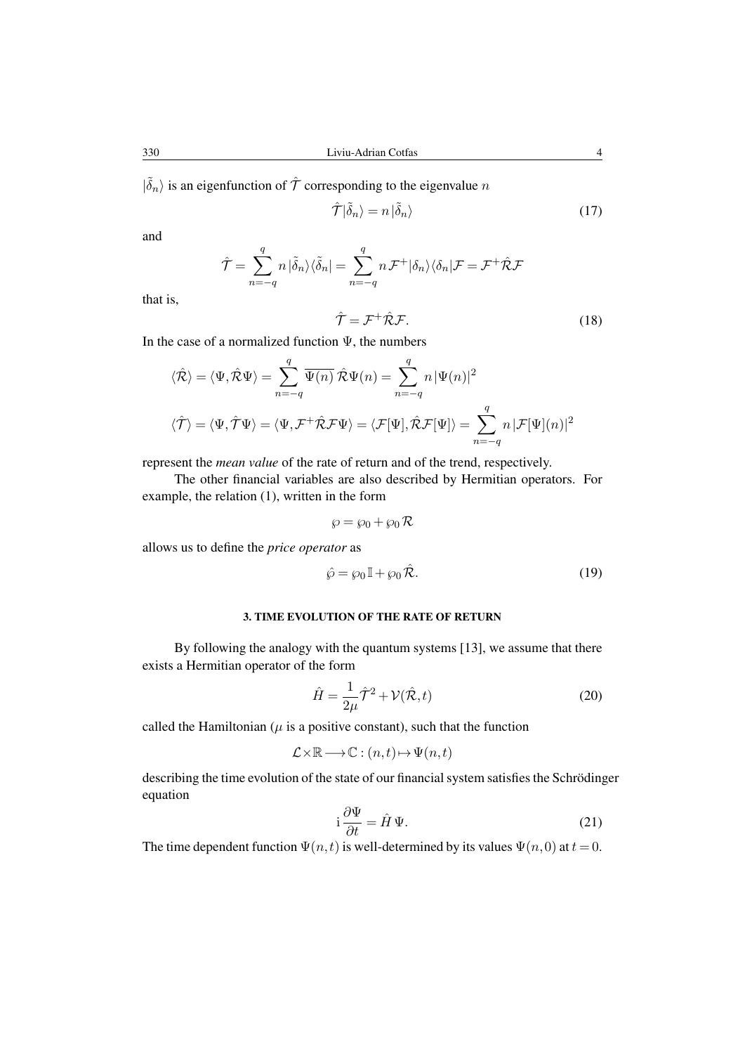$|\tilde{\delta}_n\rangle$  is an eigenfunction of  $\hat{\mathcal{T}}$  corresponding to the eigenvalue n

$$
\hat{\mathcal{T}}|\tilde{\delta}_n\rangle = n|\tilde{\delta}_n\rangle\tag{17}
$$

and

$$
\hat{\mathcal{T}} = \sum_{n=-q}^q n \ket{\tilde{\delta}_n} \bra{\tilde{\delta}_n} = \sum_{n=-q}^q n \mathcal{F}^+ \ket{\delta_n} \bra{\delta_n} \mathcal{F} = \mathcal{F}^+ \hat{\mathcal{R}} \mathcal{F}
$$

that is,

$$
\hat{\mathcal{T}} = \mathcal{F}^+ \hat{\mathcal{R}} \mathcal{F}.\tag{18}
$$

In the case of a normalized function  $\Psi$ , the numbers

$$
\langle \hat{\mathcal{R}} \rangle = \langle \Psi, \hat{\mathcal{R}} \Psi \rangle = \sum_{n=-q}^{q} \overline{\Psi(n)} \hat{\mathcal{R}} \Psi(n) = \sum_{n=-q}^{q} n |\Psi(n)|^2
$$
  

$$
\langle \hat{\mathcal{T}} \rangle = \langle \Psi, \hat{\mathcal{T}} \Psi \rangle = \langle \Psi, \mathcal{F}^+ \hat{\mathcal{R}} \mathcal{F} \Psi \rangle = \langle \mathcal{F}[\Psi], \hat{\mathcal{R}} \mathcal{F}[\Psi] \rangle = \sum_{n=-q}^{q} n |\mathcal{F}[\Psi](n)|^2
$$

represent the *mean value* of the rate of return and of the trend, respectively.

The other financial variables are also described by Hermitian operators. For example, the relation (1), written in the form

$$
\wp = \wp_0 + \wp_0 \mathcal{R}
$$

allows us to define the *price operator* as

$$
\hat{\wp} = \wp_0 \mathbb{I} + \wp_0 \hat{\mathcal{R}}.\tag{19}
$$

# 3. TIME EVOLUTION OF THE RATE OF RETURN

By following the analogy with the quantum systems [13], we assume that there exists a Hermitian operator of the form

$$
\hat{H} = \frac{1}{2\mu}\hat{\mathcal{T}}^2 + \mathcal{V}(\hat{\mathcal{R}}, t)
$$
\n(20)

called the Hamiltonian ( $\mu$  is a positive constant), such that the function

$$
\mathcal{L} \times \mathbb{R} \longrightarrow \mathbb{C} : (n, t) \mapsto \Psi(n, t)
$$

describing the time evolution of the state of our financial system satisfies the Schrödinger equation

$$
i\frac{\partial \Psi}{\partial t} = \hat{H}\,\Psi.
$$
 (21)

The time dependent function  $\Psi(n, t)$  is well-determined by its values  $\Psi(n, 0)$  at  $t = 0$ .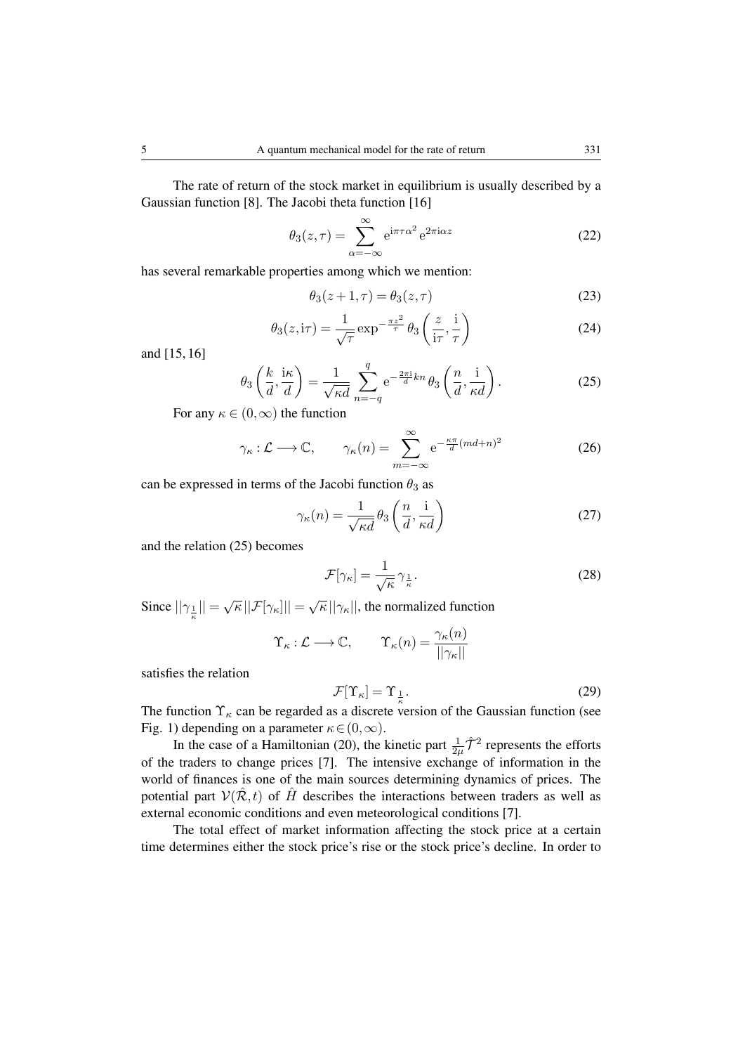The rate of return of the stock market in equilibrium is usually described by a Gaussian function [8]. The Jacobi theta function [16]

$$
\theta_3(z,\tau) = \sum_{\alpha=-\infty}^{\infty} e^{i\pi\tau\alpha^2} e^{2\pi i\alpha z}
$$
 (22)

has several remarkable properties among which we mention:

$$
\theta_3(z+1,\tau) = \theta_3(z,\tau) \tag{23}
$$

$$
\theta_3(z,i\tau) = \frac{1}{\sqrt{\tau}} \exp^{-\frac{\pi z^2}{\tau}} \theta_3\left(\frac{z}{i\tau}, \frac{i}{\tau}\right)
$$
(24)

and [15, 16]

$$
\theta_3\left(\frac{k}{d}, \frac{i\kappa}{d}\right) = \frac{1}{\sqrt{\kappa d}} \sum_{n=-q}^q e^{-\frac{2\pi i}{d}kn} \theta_3\left(\frac{n}{d}, \frac{i}{\kappa d}\right).
$$
 (25)

For any  $\kappa \in (0,\infty)$  the function

$$
\gamma_{\kappa} : \mathcal{L} \longrightarrow \mathbb{C}, \qquad \gamma_{\kappa}(n) = \sum_{m=-\infty}^{\infty} e^{-\frac{\kappa \pi}{d} (md+n)^2}
$$
\n(26)

can be expressed in terms of the Jacobi function  $\theta_3$  as

$$
\gamma_{\kappa}(n) = \frac{1}{\sqrt{\kappa d}} \theta_3\left(\frac{n}{d}, \frac{\mathrm{i}}{\kappa d}\right) \tag{27}
$$

and the relation (25) becomes

$$
\mathcal{F}[\gamma_{\kappa}] = \frac{1}{\sqrt{\kappa}} \gamma_{\frac{1}{\kappa}}.
$$
 (28)

Since  $||\gamma_{\frac{1}{\kappa}}|| = \sqrt{\kappa} ||\mathcal{F}[\gamma_{\kappa}]|| = \sqrt{\kappa} ||\gamma_{\kappa}||$ , the normalized function

$$
\Upsilon_{\kappa} : \mathcal{L} \longrightarrow \mathbb{C}, \qquad \Upsilon_{\kappa}(n) = \frac{\gamma_{\kappa}(n)}{||\gamma_{\kappa}||}
$$

satisfies the relation

$$
\mathcal{F}[\Upsilon_{\kappa}] = \Upsilon_{\frac{1}{\kappa}}.\tag{29}
$$

The function  $\Upsilon_{\kappa}$  can be regarded as a discrete version of the Gaussian function (see Fig. 1) depending on a parameter  $\kappa \in (0,\infty)$ .

In the case of a Hamiltonian (20), the kinetic part  $\frac{1}{2\mu}\hat{\mathcal{T}}^2$  represents the efforts of the traders to change prices [7]. The intensive exchange of information in the world of finances is one of the main sources determining dynamics of prices. The potential part  $V(\hat{R},t)$  of  $\hat{H}$  describes the interactions between traders as well as external economic conditions and even meteorological conditions [7].

The total effect of market information affecting the stock price at a certain time determines either the stock price's rise or the stock price's decline. In order to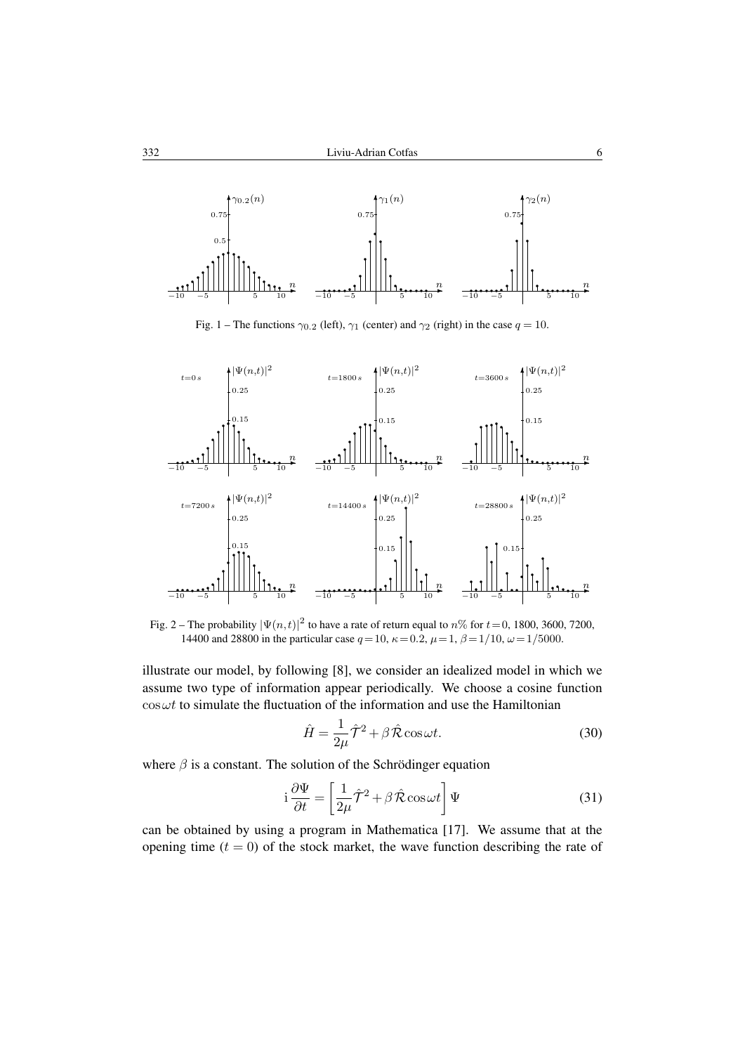

Fig. 1 – The functions  $\gamma_{0.2}$  (left),  $\gamma_1$  (center) and  $\gamma_2$  (right) in the case  $q = 10$ .



Fig. 2 – The probability  $|\Psi(n,t)|^2$  to have a rate of return equal to  $n\%$  for  $t = 0$ , 1800, 3600, 7200, 14400 and 28800 in the particular case  $q = 10$ ,  $\kappa = 0.2$ ,  $\mu = 1$ ,  $\beta = 1/10$ ,  $\omega = 1/5000$ .

illustrate our model, by following [8], we consider an idealized model in which we assume two type of information appear periodically. We choose a cosine function  $\cos \omega t$  to simulate the fluctuation of the information and use the Hamiltonian

$$
\hat{H} = \frac{1}{2\mu}\hat{\mathcal{T}}^2 + \beta \hat{\mathcal{R}} \cos \omega t.
$$
\n(30)

where  $\beta$  is a constant. The solution of the Schrödinger equation

$$
i\frac{\partial \Psi}{\partial t} = \left[\frac{1}{2\mu}\hat{\mathcal{T}}^2 + \beta \hat{\mathcal{R}}\cos\omega t\right]\Psi\tag{31}
$$

can be obtained by using a program in Mathematica [17]. We assume that at the opening time  $(t = 0)$  of the stock market, the wave function describing the rate of